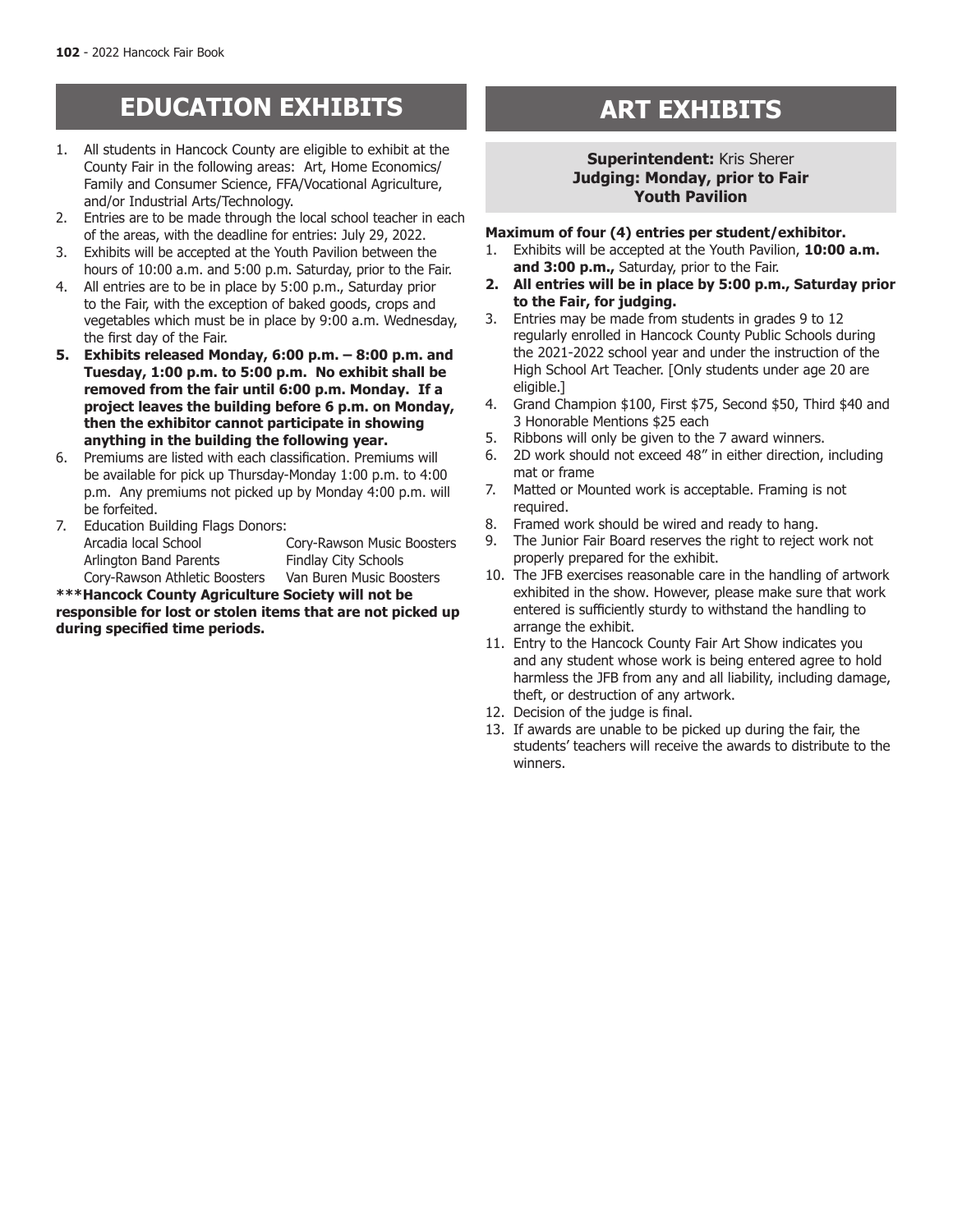# **EDUCATION EXHIBITS ART EXHIBITS**

- 1. All students in Hancock County are eligible to exhibit at the County Fair in the following areas: Art, Home Economics/ Family and Consumer Science, FFA/Vocational Agriculture, and/or Industrial Arts/Technology.
- 2. Entries are to be made through the local school teacher in each of the areas, with the deadline for entries: July 29, 2022.
- 3. Exhibits will be accepted at the Youth Pavilion between the hours of 10:00 a.m. and 5:00 p.m. Saturday, prior to the Fair.
- 4. All entries are to be in place by 5:00 p.m., Saturday prior to the Fair, with the exception of baked goods, crops and vegetables which must be in place by 9:00 a.m. Wednesday, the first day of the Fair.
- **5. Exhibits released Monday, 6:00 p.m. 8:00 p.m. and Tuesday, 1:00 p.m. to 5:00 p.m. No exhibit shall be removed from the fair until 6:00 p.m. Monday. If a project leaves the building before 6 p.m. on Monday, then the exhibitor cannot participate in showing anything in the building the following year.**
- 6. Premiums are listed with each classification. Premiums will be available for pick up Thursday-Monday 1:00 p.m. to 4:00 p.m. Any premiums not picked up by Monday 4:00 p.m. will be forfeited.
- 7. Education Building Flags Donors: Arcadia local School Cory-Rawson Music Boosters Arlington Band Parents Findlay City Schools<br>Cory-Rawson Athletic Boosters Van Buren Music Boosters Cory-Rawson Athletic Boosters

**\*\*\*Hancock County Agriculture Society will not be responsible for lost or stolen items that are not picked up during specified time periods.** 

# **Superintendent:** Kris Sherer **Judging: Monday, prior to Fair Youth Pavilion**

#### **Maximum of four (4) entries per student/exhibitor.**

- 1. Exhibits will be accepted at the Youth Pavilion, **10:00 a.m. and 3:00 p.m.,** Saturday, prior to the Fair.
- **2. All entries will be in place by 5:00 p.m., Saturday prior to the Fair, for judging.**
- 3. Entries may be made from students in grades 9 to 12 regularly enrolled in Hancock County Public Schools during the 2021-2022 school year and under the instruction of the High School Art Teacher. [Only students under age 20 are eligible.]
- 4. Grand Champion \$100, First \$75, Second \$50, Third \$40 and 3 Honorable Mentions \$25 each
- 5. Ribbons will only be given to the 7 award winners.
- 6. 2D work should not exceed 48" in either direction, including mat or frame
- 7. Matted or Mounted work is acceptable. Framing is not required.
- 8. Framed work should be wired and ready to hang.
- 9. The Junior Fair Board reserves the right to reject work not properly prepared for the exhibit.
- 10. The JFB exercises reasonable care in the handling of artwork exhibited in the show. However, please make sure that work entered is sufficiently sturdy to withstand the handling to arrange the exhibit.
- 11. Entry to the Hancock County Fair Art Show indicates you and any student whose work is being entered agree to hold harmless the JFB from any and all liability, including damage, theft, or destruction of any artwork.
- 12. Decision of the judge is final.
- 13. If awards are unable to be picked up during the fair, the students' teachers will receive the awards to distribute to the winners.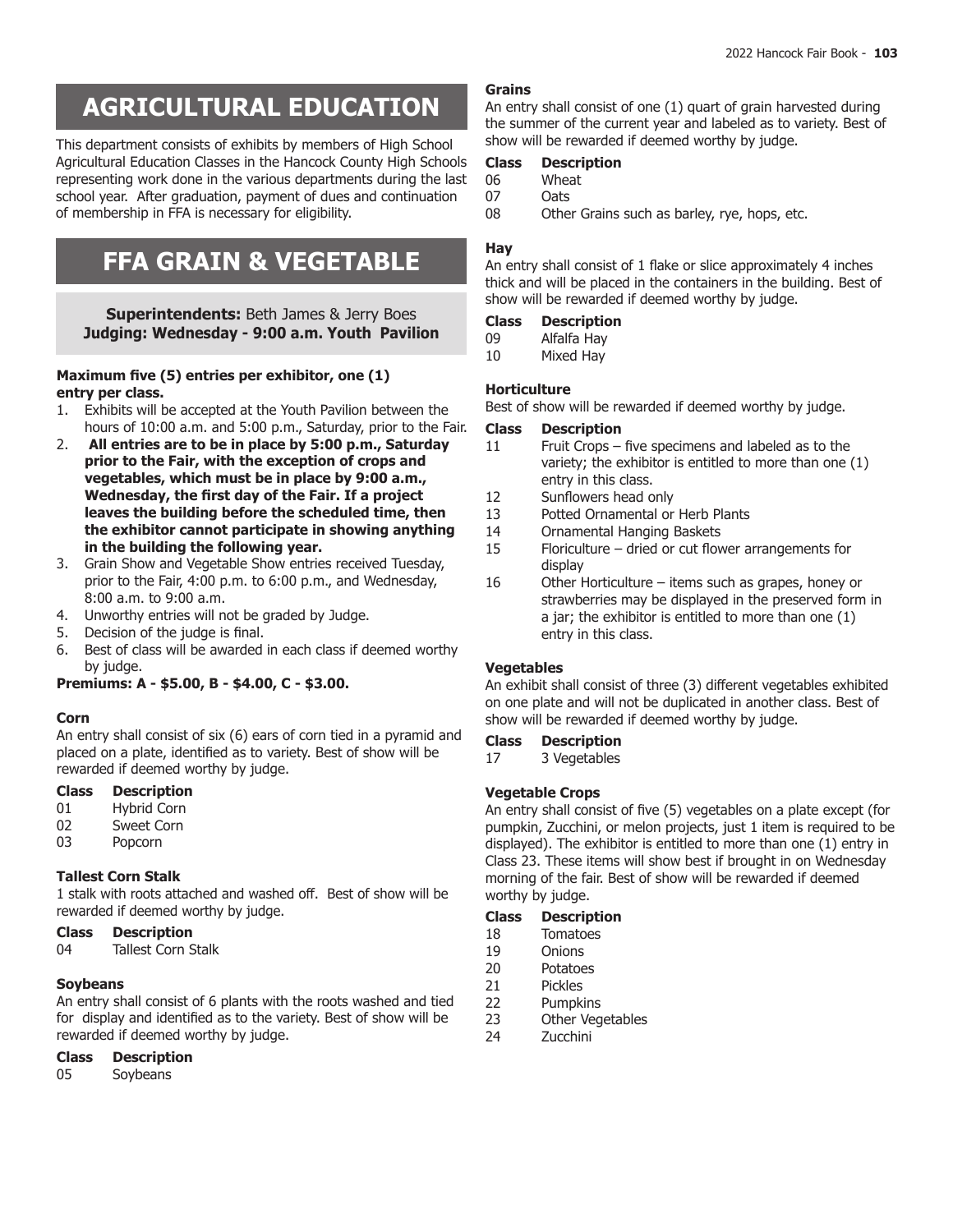# **BAKING, CANNING & CANDY AGRICULTURAL EDUCATION**

This department consists of exhibits by members of High School Agricultural Education Classes in the Hancock County High Schools representing work done in the various departments during the last school year. After graduation, payment of dues and continuation of membership in FFA is necessary for eligibility.

# **FFA GRAIN & VEGETABLE**

**Superintendents:** Beth James & Jerry Boes **Judging: Wednesday - 9:00 a.m. Youth Pavilion**

# **Maximum five (5) entries per exhibitor, one (1) entry per class.**

- 1. Exhibits will be accepted at the Youth Pavilion between the hours of 10:00 a.m. and 5:00 p.m., Saturday, prior to the Fair.
- 2. **All entries are to be in place by 5:00 p.m., Saturday prior to the Fair, with the exception of crops and vegetables, which must be in place by 9:00 a.m., Wednesday, the first day of the Fair. If a project leaves the building before the scheduled time, then the exhibitor cannot participate in showing anything in the building the following year.**
- 3. Grain Show and Vegetable Show entries received Tuesday, prior to the Fair, 4:00 p.m. to 6:00 p.m., and Wednesday, 8:00 a.m. to 9:00 a.m.
- 4. Unworthy entries will not be graded by Judge.
- 5. Decision of the judge is final.
- 6. Best of class will be awarded in each class if deemed worthy by judge.

**Premiums: A - \$5.00, B - \$4.00, C - \$3.00.**

# **Corn**

An entry shall consist of six (6) ears of corn tied in a pyramid and placed on a plate, identified as to variety. Best of show will be rewarded if deemed worthy by judge.

# **Class Description**

- 01 Hybrid Corn
- 02 Sweet Corn
- 03 Popcorn

# **Tallest Corn Stalk**

1 stalk with roots attached and washed off. Best of show will be rewarded if deemed worthy by judge.

# **Class Description**

**Tallest Corn Stalk** 

# **Soybeans**

An entry shall consist of 6 plants with the roots washed and tied for display and identified as to the variety. Best of show will be rewarded if deemed worthy by judge.

05 Soybeans

# **Grains**

An entry shall consist of one (1) quart of grain harvested during the summer of the current year and labeled as to variety. Best of show will be rewarded if deemed worthy by judge.

# **Class Description**

- 06 Wheat
- 07 Oats<br>08 Othe
- Other Grains such as barley, rye, hops, etc.

# **Hay**

An entry shall consist of 1 flake or slice approximately 4 inches thick and will be placed in the containers in the building. Best of show will be rewarded if deemed worthy by judge.

## **Class Description**

- 09 Alfalfa Hay<br>10 Mixed Hay
- Mixed Hay

# **Horticulture**

Best of show will be rewarded if deemed worthy by judge.

# **Class Description**

- 11 Fruit Crops five specimens and labeled as to the variety; the exhibitor is entitled to more than one (1) entry in this class.
- 12 Sunflowers head only
- 13 Potted Ornamental or Herb Plants<br>14 Ornamental Hanging Baskets
- Ornamental Hanging Baskets
- 15 Floriculture dried or cut flower arrangements for display
- 16 Other Horticulture items such as grapes, honey or strawberries may be displayed in the preserved form in a jar; the exhibitor is entitled to more than one (1) entry in this class.

# **Vegetables**

An exhibit shall consist of three (3) different vegetables exhibited on one plate and will not be duplicated in another class. Best of show will be rewarded if deemed worthy by judge.

# **Class Description**

17 3 Vegetables

# **Vegetable Crops**

An entry shall consist of five (5) vegetables on a plate except (for pumpkin, Zucchini, or melon projects, just 1 item is required to be displayed). The exhibitor is entitled to more than one (1) entry in Class 23. These items will show best if brought in on Wednesday morning of the fair. Best of show will be rewarded if deemed worthy by judge.

# **Class Description**

- 18 Tomatoes
- 19 Onions
- 20 Potatoes
- 21 Pickles
- 22 Pumpkins<br>23 Other Vea
- 23 Other Vegetables<br>24 Zucchini
- **Zucchini**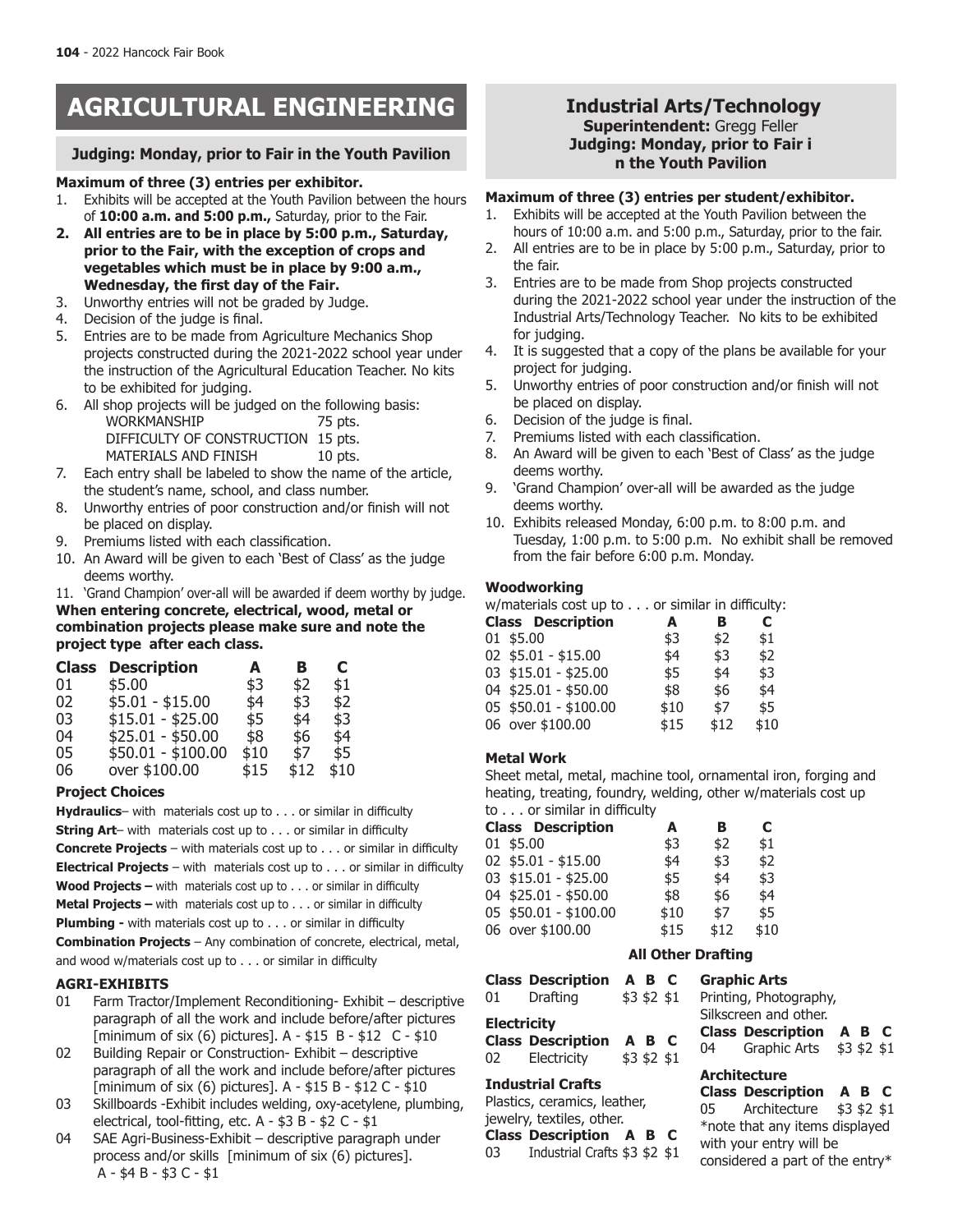# **AGRICULTURAL ENGINEERING**

# **Judging: Monday, prior to Fair in the Youth Pavilion**

#### **Maximum of three (3) entries per exhibitor.**

- 1. Exhibits will be accepted at the Youth Pavilion between the hours of **10:00 a.m. and 5:00 p.m.,** Saturday, prior to the Fair.
- **2. All entries are to be in place by 5:00 p.m., Saturday, prior to the Fair, with the exception of crops and vegetables which must be in place by 9:00 a.m., Wednesday, the first day of the Fair.**
- 3. Unworthy entries will not be graded by Judge.
- 4. Decision of the judge is final.
- 5. Entries are to be made from Agriculture Mechanics Shop projects constructed during the 2021-2022 school year under the instruction of the Agricultural Education Teacher. No kits to be exhibited for judging.
- 6. All shop projects will be judged on the following basis: WORKMANSHIP 75 pts. DIFFICULTY OF CONSTRUCTION 15 pts. MATERIALS AND FINISH 10 pts.
- 7. Each entry shall be labeled to show the name of the article, the student's name, school, and class number.
- 8. Unworthy entries of poor construction and/or finish will not be placed on display.
- 9. Premiums listed with each classification.
- 10. An Award will be given to each 'Best of Class' as the judge deems worthy.
- 11. 'Grand Champion' over-all will be awarded if deem worthy by judge.

**When entering concrete, electrical, wood, metal or combination projects please make sure and note the project type after each class.**

| <b>Description</b> | A    | в    | C    |
|--------------------|------|------|------|
| \$5.00             | \$3  | \$2  | \$1  |
| $$5.01 - $15.00$   | \$4  | \$3  | \$2  |
| $$15.01 - $25.00$  | \$5  | \$4  | \$3  |
| $$25.01 - $50.00$  | \$8  | \$6  | \$4  |
| $$50.01 - $100.00$ | \$10 | \$7  | \$5  |
| over \$100.00      | \$15 | \$12 | \$10 |
|                    |      |      |      |

# **Project Choices**

**Hydraulics**– with materials cost up to . . . or similar in difficulty **String Art**– with materials cost up to . . . or similar in difficulty **Concrete Projects** – with materials cost up to . . . or similar in difficulty **Electrical Projects** – with materials cost up to . . . or similar in difficulty **Wood Projects –** with materials cost up to . . . or similar in difficulty **Metal Projects –** with materials cost up to . . . or similar in difficulty **Plumbing -** with materials cost up to . . . or similar in difficulty **Combination Projects** – Any combination of concrete, electrical, metal, and wood w/materials cost up to . . . or similar in difficulty

# **AGRI-EXHIBITS**

- 01 Farm Tractor/Implement Reconditioning- Exhibit descriptive paragraph of all the work and include before/after pictures [minimum of six (6) pictures]. A - \$15 B - \$12 C - \$10
- 02 Building Repair or Construction- Exhibit descriptive paragraph of all the work and include before/after pictures [minimum of six (6) pictures]. A - \$15 B - \$12 C - \$10
- 03 Skillboards -Exhibit includes welding, oxy-acetylene, plumbing, electrical, tool-fitting, etc. A - \$3 B - \$2 C - \$1
- 04 SAE Agri-Business-Exhibit descriptive paragraph under process and/or skills [minimum of six (6) pictures]. A - \$4 B - \$3 C - \$1

# **Industrial Arts/Technology Superintendent:** Gregg Feller **Judging: Monday, prior to Fair i n the Youth Pavilion**

# **Maximum of three (3) entries per student/exhibitor.**

- 1. Exhibits will be accepted at the Youth Pavilion between the hours of 10:00 a.m. and 5:00 p.m., Saturday, prior to the fair.
- 2. All entries are to be in place by 5:00 p.m., Saturday, prior to the fair.
- 3. Entries are to be made from Shop projects constructed during the 2021-2022 school year under the instruction of the Industrial Arts/Technology Teacher. No kits to be exhibited for judging.
- 4. It is suggested that a copy of the plans be available for your project for judging.
- 5. Unworthy entries of poor construction and/or finish will not be placed on display.
- 6. Decision of the judge is final.
- 7. Premiums listed with each classification.
- 8. An Award will be given to each 'Best of Class' as the judge deems worthy.
- 9. 'Grand Champion' over-all will be awarded as the judge deems worthy.
- 10. Exhibits released Monday, 6:00 p.m. to 8:00 p.m. and Tuesday, 1:00 p.m. to 5:00 p.m. No exhibit shall be removed from the fair before 6:00 p.m. Monday.

# **Woodworking**

w/materials cost up to . . . or similar in difficulty:

| <b>Class Description</b> | A    | в    | C    |
|--------------------------|------|------|------|
| 01 \$5.00                | \$3  | \$2  | \$1  |
| 02 \$5.01 - \$15.00      | \$4  | \$3  | \$2  |
| 03 \$15.01 - \$25.00     | \$5  | \$4  | \$3  |
| 04 \$25.01 - \$50.00     | \$8  | \$6  | \$4  |
| 05 \$50.01 - \$100.00    | \$10 | \$7  | \$5  |
| 06 over \$100.00         | \$15 | \$12 | \$10 |
|                          |      |      |      |

# **Metal Work**

Sheet metal, metal, machine tool, ornamental iron, forging and heating, treating, foundry, welding, other w/materials cost up to . . . or similar in difficulty

|  | <b>Class Description</b> | A    | в    | С    |
|--|--------------------------|------|------|------|
|  | 01 \$5.00                | \$3  | \$2  | \$1  |
|  | 02 \$5.01 - \$15.00      | \$4  | \$3  | \$2  |
|  | 03 \$15.01 - \$25.00     | \$5  | \$4  | \$3  |
|  | 04 \$25.01 - \$50.00     | \$8  | \$6  | \$4  |
|  | 05 \$50.01 - \$100.00    | \$10 | \$7  | \$5  |
|  | 06 over \$100.00         | \$15 | \$12 | \$10 |

# **All Other Drafting**

| 01 -                       | <b>Class Description A B C</b><br>Drafting | $$3$ \$2 \$1          | <b>Graphic Arts</b><br>Printing, Phote                |
|----------------------------|--------------------------------------------|-----------------------|-------------------------------------------------------|
| <b>Electricity</b><br>02 - | <b>Class Description</b><br>Electricity    | A B C<br>$$3$ \$2 \$1 | Silkscreen and<br><b>Class Descri</b><br>Graphi<br>04 |

# **Industrial Crafts**

Plastics, ceramics, leather, jewelry, textiles, other.

**Class Description A B C**

03 Industrial Crafts \$3 \$2 \$1

|                       | Graphic Arts             |  |              |  |  |
|-----------------------|--------------------------|--|--------------|--|--|
|                       | Printing, Photography,   |  |              |  |  |
| Silkscreen and other. |                          |  |              |  |  |
|                       | <b>Class Description</b> |  | A B C        |  |  |
| 04 —                  | Graphic Arts             |  | $$3$ \$2 \$1 |  |  |

# **Architecture**

**Class Description A B C** 05 Architecture \$3 \$2 \$1 \*note that any items displayed with your entry will be considered a part of the entry\*